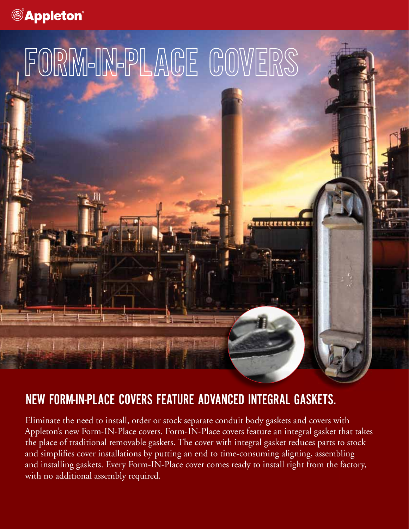



## NEW FORM-IN-PLACE COVERS FEATURE ADVANCED INTEGRAL GASKETS.

Eliminate the need to install, order or stock separate conduit body gaskets and covers with Appleton's new Form-IN-Place covers. Form-IN-Place covers feature an integral gasket that takes the place of traditional removable gaskets. The cover with integral gasket reduces parts to stock and simplifies cover installations by putting an end to time-consuming aligning, assembling and installing gaskets. Every Form-IN-Place cover comes ready to install right from the factory, with no additional assembly required.